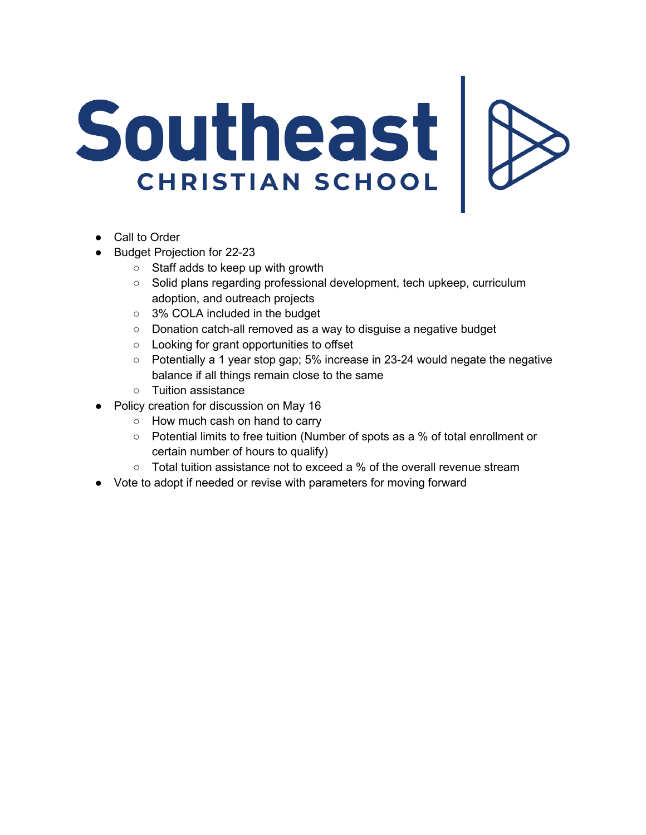## Southeast | 8

- Call to Order
- Budget Projection for 22-23
	- Staff adds to keep up with growth
	- Solid plans regarding professional development, tech upkeep, curriculum adoption, and outreach projects
	- 3% COLA included in the budget
	- Donation catch-all removed as a way to disguise a negative budget
	- Looking for grant opportunities to offset
	- Potentially a 1 year stop gap; 5% increase in 23-24 would negate the negative balance if all things remain close to the same
	- Tuition assistance
- Policy creation for discussion on May 16
	- How much cash on hand to carry
	- Potential limits to free tuition (Number of spots as a % of total enrollment or certain number of hours to qualify)
	- $\circ$  Total tuition assistance not to exceed a % of the overall revenue stream
- Vote to adopt if needed or revise with parameters for moving forward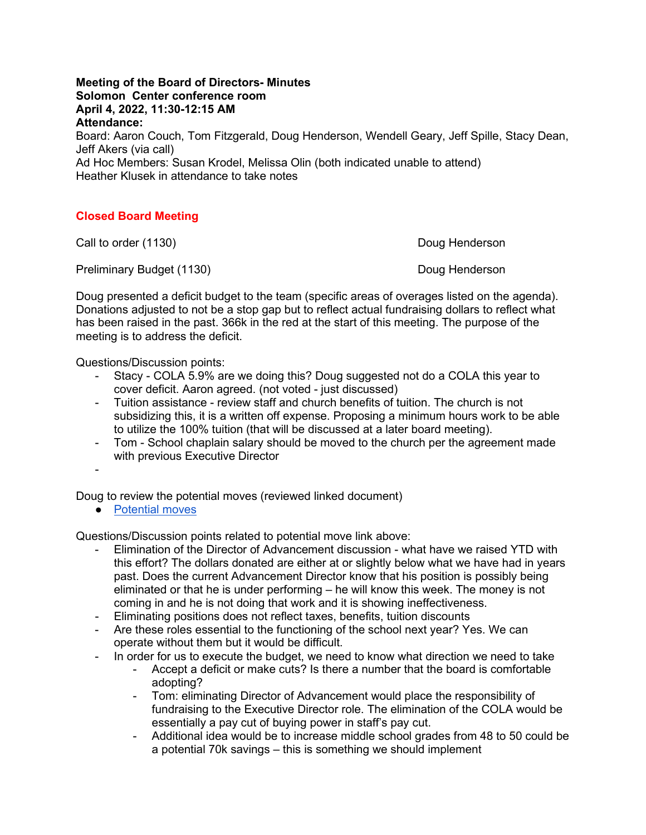## **Meeting of the Board of Directors- Minutes Solomon Center conference room April 4, 2022, 11:30-12:15 AM Attendance:**

Board: Aaron Couch, Tom Fitzgerald, Doug Henderson, Wendell Geary, Jeff Spille, Stacy Dean, Jeff Akers (via call)

Ad Hoc Members: Susan Krodel, Melissa Olin (both indicated unable to attend) Heather Klusek in attendance to take notes

## **Closed Board Meeting**

Call to order (1130) Call to order (1130)

Preliminary Budget (1130) Doug Henderson

Doug presented a deficit budget to the team (specific areas of overages listed on the agenda). Donations adjusted to not be a stop gap but to reflect actual fundraising dollars to reflect what has been raised in the past. 366k in the red at the start of this meeting. The purpose of the meeting is to address the deficit.

Questions/Discussion points:

- Stacy COLA 5.9% are we doing this? Doug suggested not do a COLA this year to cover deficit. Aaron agreed. (not voted - just discussed)
- Tuition assistance review staff and church benefits of tuition. The church is not subsidizing this, it is a written off expense. Proposing a minimum hours work to be able to utilize the 100% tuition (that will be discussed at a later board meeting).
- Tom School chaplain salary should be moved to the church per the agreement made with previous Executive Director

-

Doug to review the potential moves (reviewed linked document)

● [Potential moves](https://docs.google.com/spreadsheets/d/15S2AB9S6Gm0Ffwgcb9dF11qfJnfmHrvj/edit?usp=sharing&ouid=100575947531836301460&rtpof=true&sd=true)

Questions/Discussion points related to potential move link above:

- Elimination of the Director of Advancement discussion what have we raised YTD with this effort? The dollars donated are either at or slightly below what we have had in years past. Does the current Advancement Director know that his position is possibly being eliminated or that he is under performing – he will know this week. The money is not coming in and he is not doing that work and it is showing ineffectiveness.
- Eliminating positions does not reflect taxes, benefits, tuition discounts
- Are these roles essential to the functioning of the school next year? Yes. We can operate without them but it would be difficult.
- In order for us to execute the budget, we need to know what direction we need to take
	- Accept a deficit or make cuts? Is there a number that the board is comfortable adopting?
	- Tom: eliminating Director of Advancement would place the responsibility of fundraising to the Executive Director role. The elimination of the COLA would be essentially a pay cut of buying power in staff's pay cut.
	- Additional idea would be to increase middle school grades from 48 to 50 could be a potential 70k savings – this is something we should implement